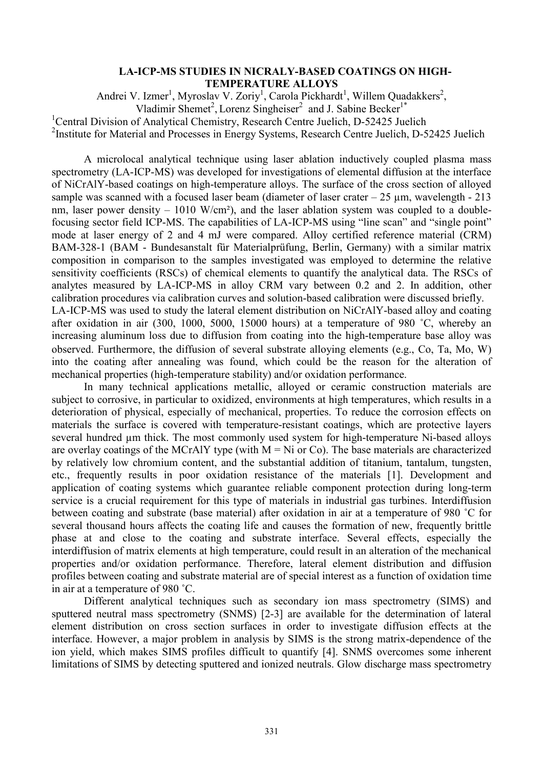## **LA-ICP-MS STUDIES IN NICRALY-BASED COATINGS ON HIGH-TEMPERATURE ALLOYS**

Andrei V. Izmer<sup>1</sup>, Myroslav V. Zoriy<sup>1</sup>, Carola Pickhardt<sup>1</sup>, Willem Quadakkers<sup>2</sup>, Vladimir Shemet<sup>2</sup>, Lorenz Singheiser<sup>2</sup> and J. Sabine Becker<sup>1\*</sup>

<sup>1</sup>Central Division of Analytical Chemistry, Research Centre Juelich, D-52425 Juelich

<sup>2</sup>Institute for Material and Processes in Energy Systems, Research Centre Juelich, D-52425 Juelich

A microlocal analytical technique using laser ablation inductively coupled plasma mass spectrometry (LA-ICP-MS) was developed for investigations of elemental diffusion at the interface of NiCrAlY-based coatings on high-temperature alloys. The surface of the cross section of alloyed sample was scanned with a focused laser beam (diameter of laser crater  $-25 \text{ µm}$ , wavelength  $-213$ nm, laser power density  $-1010$  W/cm<sup>2</sup>), and the laser ablation system was coupled to a doublefocusing sector field ICP-MS. The capabilities of LA-ICP-MS using "line scan" and "single point" mode at laser energy of 2 and 4 mJ were compared. Alloy certified reference material (CRM) BAM-328-1 (BAM - Bundesanstalt für Materialprüfung, Berlin, Germany) with a similar matrix composition in comparison to the samples investigated was employed to determine the relative sensitivity coefficients (RSCs) of chemical elements to quantify the analytical data. The RSCs of analytes measured by LA-ICP-MS in alloy CRM vary between 0.2 and 2. In addition, other calibration procedures via calibration curves and solution-based calibration were discussed briefly. LA-ICP-MS was used to study the lateral element distribution on NiCrAlY-based alloy and coating after oxidation in air (300, 1000, 5000, 15000 hours) at a temperature of 980 ˚C, whereby an

increasing aluminum loss due to diffusion from coating into the high-temperature base alloy was observed. Furthermore, the diffusion of several substrate alloying elements (e.g., Co, Ta, Mo, W) into the coating after annealing was found, which could be the reason for the alteration of mechanical properties (high-temperature stability) and/or oxidation performance.

In many technical applications metallic, alloyed or ceramic construction materials are subject to corrosive, in particular to oxidized, environments at high temperatures, which results in a deterioration of physical, especially of mechanical, properties. To reduce the corrosion effects on materials the surface is covered with temperature-resistant coatings, which are protective layers several hundred µm thick. The most commonly used system for high-temperature Ni-based alloys are overlay coatings of the MCrAlY type (with  $M = Ni$  or Co). The base materials are characterized by relatively low chromium content, and the substantial addition of titanium, tantalum, tungsten, etc., frequently results in poor oxidation resistance of the materials [1]. Development and application of coating systems which guarantee reliable component protection during long-term service is a crucial requirement for this type of materials in industrial gas turbines. Interdiffusion between coating and substrate (base material) after oxidation in air at a temperature of 980 ˚C for several thousand hours affects the coating life and causes the formation of new, frequently brittle phase at and close to the coating and substrate interface. Several effects, especially the interdiffusion of matrix elements at high temperature, could result in an alteration of the mechanical properties and/or oxidation performance. Therefore, lateral element distribution and diffusion profiles between coating and substrate material are of special interest as a function of oxidation time in air at a temperature of 980 ˚C.

Different analytical techniques such as secondary ion mass spectrometry (SIMS) and sputtered neutral mass spectrometry (SNMS) [2-3] are available for the determination of lateral element distribution on cross section surfaces in order to investigate diffusion effects at the interface. However, a major problem in analysis by SIMS is the strong matrix-dependence of the ion yield, which makes SIMS profiles difficult to quantify [4]. SNMS overcomes some inherent limitations of SIMS by detecting sputtered and ionized neutrals. Glow discharge mass spectrometry